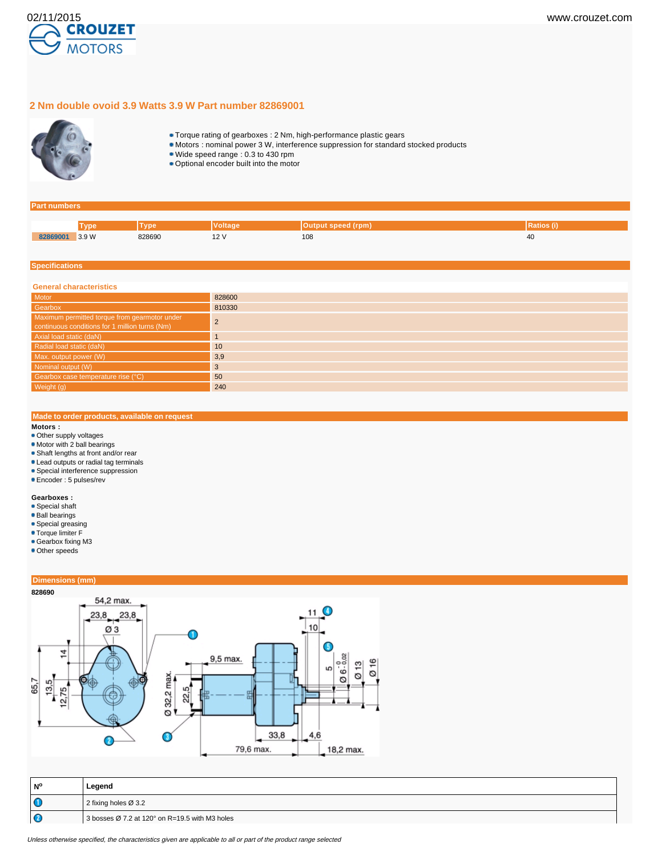

## **2 Nm double ovoid 3.9 Watts 3.9 W Part number 82869001**



- Torque rating of gearboxes : 2 Nm, high-performance plastic gears
- Motors : nominal power 3 W, interference suppression for standard stocked products
- Wide speed range : 0.3 to 430 rpm
- Optional encoder built into the motor

#### **Part numbers**

|          | <b>Mno</b> | 7n          | ′oltaɑe | Output speed (rpm) | rauos |
|----------|------------|-------------|---------|--------------------|-------|
| 82869001 | 3.9W<br>.  | 828690<br>. | . .     | 108<br>$-$         | 40    |

### **Specifications**

| <b>General characteristics</b>                                                                  |        |  |  |  |
|-------------------------------------------------------------------------------------------------|--------|--|--|--|
| Motor                                                                                           | 828600 |  |  |  |
| Gearbox                                                                                         | 810330 |  |  |  |
| Maximum permitted torque from gearmotor under<br>continuous conditions for 1 million turns (Nm) |        |  |  |  |
| Axial load static (daN)                                                                         |        |  |  |  |
| Radial load static (daN)                                                                        | 10     |  |  |  |
| Max. output power (W)                                                                           | 3,9    |  |  |  |
| Nominal output (W)                                                                              | 3      |  |  |  |
| Gearbox case temperature rise (°C)                                                              | 50     |  |  |  |
| Weight (g)                                                                                      | 240    |  |  |  |

## **Made to order products, available on request**

## **Motors :**

- Other supply voltages
- Motor with 2 ball bearings
- Shaft lengths at front and/or rear
- Lead outputs or radial tag terminals
- **Special interference suppression**
- Encoder : 5 pulses/rev

#### **Gearboxes :**

- Special shaft
- Ball bearings
- Special greasing
- Torque limiter F
- Gearbox fixing M3
- Other speeds

## **Dimensions (mm)**



| l N°    | Legend                                                               |  |
|---------|----------------------------------------------------------------------|--|
| $\circ$ | 2 fixing holes $\varnothing$ 3.2                                     |  |
| ΙC      | 3 bosses $\varnothing$ 7.2 at 120 $^{\circ}$ on R=19.5 with M3 holes |  |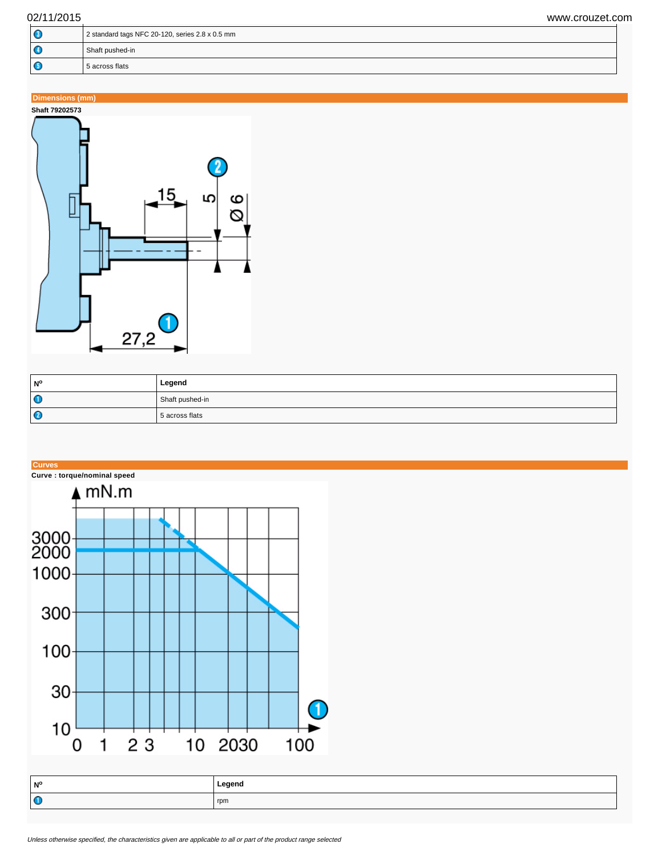| Œ                    | 2 standard tags NFC 20-120, series 2.8 x 0.5 mm |  |
|----------------------|-------------------------------------------------|--|
| Œ<br>Shaft pushed-in |                                                 |  |
| . C                  | 5 across flats                                  |  |

# **Dimensions (mm)**



| <b>N°</b> | Legend          |
|-----------|-----------------|
| $\bullet$ | Shaft pushed-in |
| $\bullet$ | 5 across flats  |